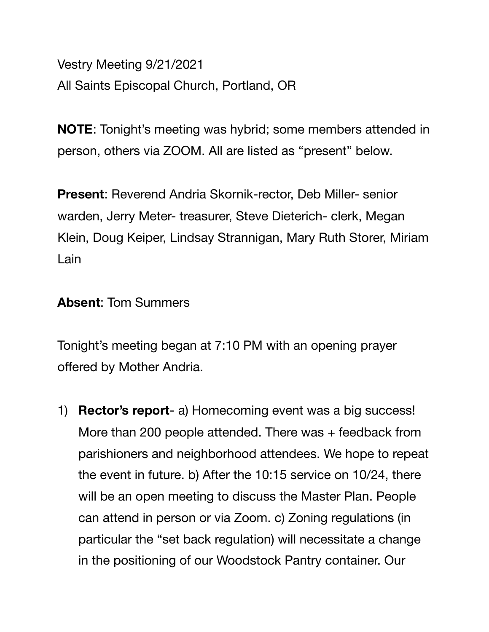Vestry Meeting 9/21/2021 All Saints Episcopal Church, Portland, OR

**NOTE**: Tonight's meeting was hybrid; some members attended in person, others via ZOOM. All are listed as "present" below.

**Present**: Reverend Andria Skornik-rector, Deb Miller- senior warden, Jerry Meter- treasurer, Steve Dieterich- clerk, Megan Klein, Doug Keiper, Lindsay Strannigan, Mary Ruth Storer, Miriam Lain

## **Absent**: Tom Summers

Tonight's meeting began at 7:10 PM with an opening prayer offered by Mother Andria.

1) **Rector's report**- a) Homecoming event was a big success! More than 200 people attended. There was + feedback from parishioners and neighborhood attendees. We hope to repeat the event in future. b) After the 10:15 service on 10/24, there will be an open meeting to discuss the Master Plan. People can attend in person or via Zoom. c) Zoning regulations (in particular the "set back regulation) will necessitate a change in the positioning of our Woodstock Pantry container. Our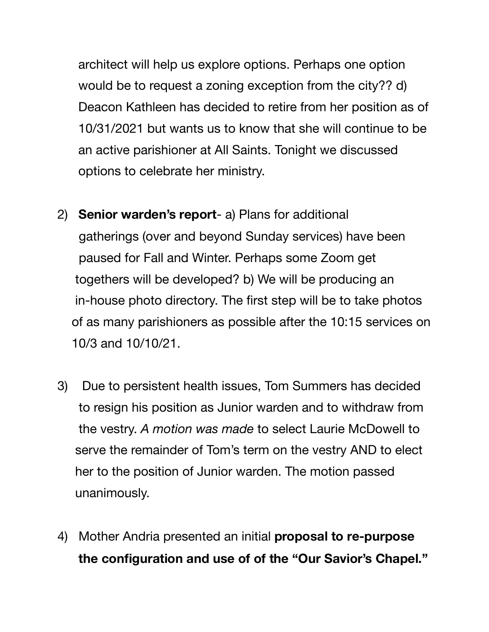architect will help us explore options. Perhaps one option would be to request a zoning exception from the city?? d) Deacon Kathleen has decided to retire from her position as of 10/31/2021 but wants us to know that she will continue to be an active parishioner at All Saints. Tonight we discussed options to celebrate her ministry.

- 2) **Senior warden's report** a) Plans for additional gatherings (over and beyond Sunday services) have been paused for Fall and Winter. Perhaps some Zoom get togethers will be developed? b) We will be producing an in-house photo directory. The first step will be to take photos of as many parishioners as possible after the 10:15 services on 10/3 and 10/10/21.
- 3) Due to persistent health issues, Tom Summers has decided to resign his position as Junior warden and to withdraw from the vestry. *A motion was made* to select Laurie McDowell to serve the remainder of Tom's term on the vestry AND to elect her to the position of Junior warden. The motion passed unanimously.
- 4) Mother Andria presented an initial **proposal to re-purpose the configuration and use of of the "Our Savior's Chapel."**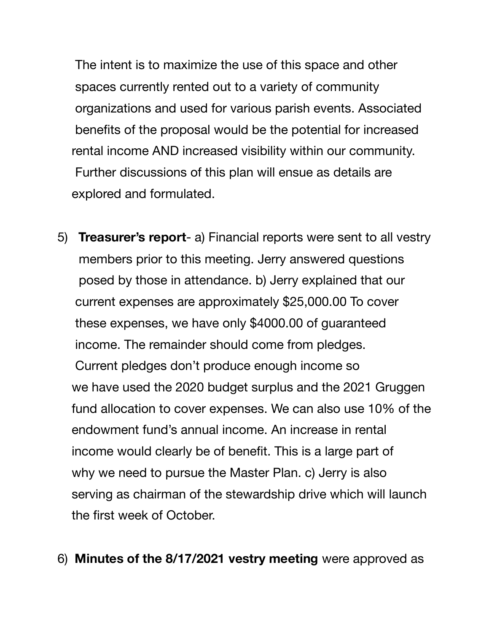The intent is to maximize the use of this space and other spaces currently rented out to a variety of community organizations and used for various parish events. Associated benefits of the proposal would be the potential for increased rental income AND increased visibility within our community. Further discussions of this plan will ensue as details are explored and formulated.

5) **Treasurer's report**- a) Financial reports were sent to all vestry members prior to this meeting. Jerry answered questions posed by those in attendance. b) Jerry explained that our current expenses are approximately \$25,000.00 To cover these expenses, we have only \$4000.00 of guaranteed income. The remainder should come from pledges. Current pledges don't produce enough income so we have used the 2020 budget surplus and the 2021 Gruggen fund allocation to cover expenses. We can also use 10% of the endowment fund's annual income. An increase in rental income would clearly be of benefit. This is a large part of why we need to pursue the Master Plan. c) Jerry is also serving as chairman of the stewardship drive which will launch the first week of October.

## 6) **Minutes of the 8/17/2021 vestry meeting** were approved as